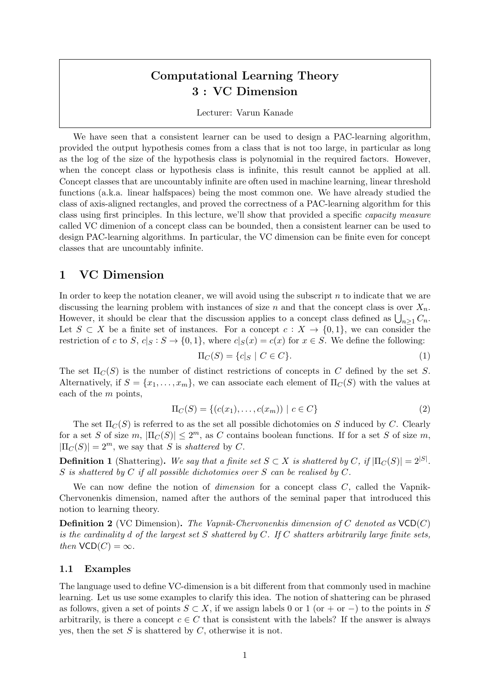# Computational Learning Theory 3 : VC Dimension

#### Lecturer: Varun Kanade

We have seen that a consistent learner can be used to design a PAC-learning algorithm, provided the output hypothesis comes from a class that is not too large, in particular as long as the log of the size of the hypothesis class is polynomial in the required factors. However, when the concept class or hypothesis class is infinite, this result cannot be applied at all. Concept classes that are uncountably infinite are often used in machine learning, linear threshold functions (a.k.a. linear halfspaces) being the most common one. We have already studied the class of axis-aligned rectangles, and proved the correctness of a PAC-learning algorithm for this class using first principles. In this lecture, we'll show that provided a specific capacity measure called VC dimenion of a concept class can be bounded, then a consistent learner can be used to design PAC-learning algorithms. In particular, the VC dimension can be finite even for concept classes that are uncountably infinite.

## 1 VC Dimension

In order to keep the notation cleaner, we will avoid using the subscript  $n$  to indicate that we are discussing the learning problem with instances of size n and that the concept class is over  $X_n$ . However, it should be clear that the discussion applies to a concept class defined as  $\bigcup_{n\geq 1} C_n$ . Let  $S \subset X$  be a finite set of instances. For a concept  $c : X \to \{0,1\}$ , we can consider the restriction of c to S,  $c|S : S \to \{0,1\}$ , where  $c|S(x) = c(x)$  for  $x \in S$ . We define the following:

$$
\Pi_C(S) = \{c|_S \mid C \in C\}.\tag{1}
$$

The set  $\Pi_{\mathcal{C}}(S)$  is the number of distinct restrictions of concepts in C defined by the set S. Alternatively, if  $S = \{x_1, \ldots, x_m\}$ , we can associate each element of  $\Pi_C(S)$  with the values at each of the m points,

$$
\Pi_C(S) = \{ (c(x_1), \dots, c(x_m)) \mid c \in C \}
$$
\n(2)

The set  $\Pi_{\mathcal{C}}(S)$  is referred to as the set all possible dichotomies on S induced by C. Clearly for a set S of size m,  $|\Pi_C(S)| \leq 2^m$ , as C contains boolean functions. If for a set S of size m,  $|\Pi_C(S)| = 2^m$ , we say that S is shattered by C.

**Definition 1** (Shattering). We say that a finite set  $S \subset X$  is shattered by C, if  $|\Pi_C(S)| = 2^{|S|}$ . S is shattered by C if all possible dichotomies over S can be realised by  $C$ .

We can now define the notion of *dimension* for a concept class  $C$ , called the Vapnik-Chervonenkis dimension, named after the authors of the seminal paper that introduced this notion to learning theory.

**Definition 2** (VC Dimension). The Vapnik-Chervonenkis dimension of C denoted as  $VCD(C)$ is the cardinality  $d$  of the largest set  $S$  shattered by  $C$ . If  $C$  shatters arbitrarily large finite sets, then  $VCD(C) = \infty$ .

#### 1.1 Examples

The language used to define VC-dimension is a bit different from that commonly used in machine learning. Let us use some examples to clarify this idea. The notion of shattering can be phrased as follows, given a set of points  $S \subset X$ , if we assign labels 0 or 1 (or + or -) to the points in S arbitrarily, is there a concept  $c \in C$  that is consistent with the labels? If the answer is always yes, then the set  $S$  is shattered by  $C$ , otherwise it is not.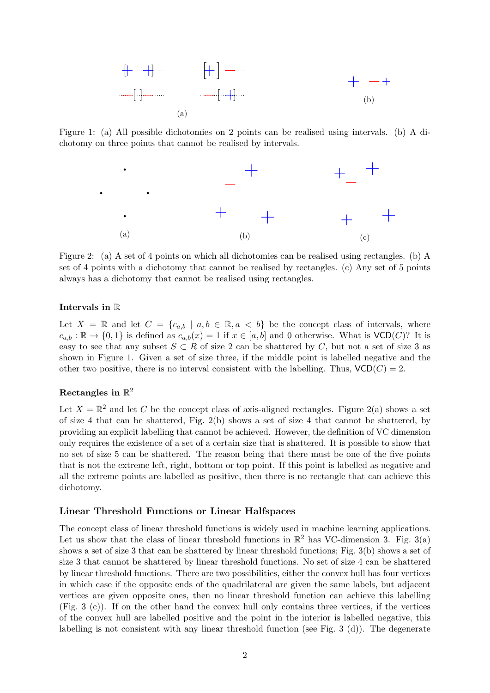

Figure 1: (a) All possible dichotomies on 2 points can be realised using intervals. (b) A dichotomy on three points that cannot be realised by intervals.



Figure 2: (a) A set of 4 points on which all dichotomies can be realised using rectangles. (b) A set of 4 points with a dichotomy that cannot be realised by rectangles. (c) Any set of 5 points always has a dichotomy that cannot be realised using rectangles.

#### Intervals in R

Let  $X = \mathbb{R}$  and let  $C = \{c_{a,b} \mid a,b \in \mathbb{R}, a < b\}$  be the concept class of intervals, where  $c_{a,b} : \mathbb{R} \to \{0,1\}$  is defined as  $c_{a,b}(x) = 1$  if  $x \in [a,b]$  and 0 otherwise. What is  $VCD(C)$ ? It is easy to see that any subset  $S \subset R$  of size 2 can be shattered by C, but not a set of size 3 as shown in Figure 1. Given a set of size three, if the middle point is labelled negative and the other two positive, there is no interval consistent with the labelling. Thus,  $VCD(C) = 2$ .

### Rectangles in  $\mathbb{R}^2$

Let  $X = \mathbb{R}^2$  and let C be the concept class of axis-aligned rectangles. Figure 2(a) shows a set of size 4 that can be shattered, Fig. 2(b) shows a set of size 4 that cannot be shattered, by providing an explicit labelling that cannot be achieved. However, the definition of VC dimension only requires the existence of a set of a certain size that is shattered. It is possible to show that no set of size 5 can be shattered. The reason being that there must be one of the five points that is not the extreme left, right, bottom or top point. If this point is labelled as negative and all the extreme points are labelled as positive, then there is no rectangle that can achieve this dichotomy.

#### Linear Threshold Functions or Linear Halfspaces

The concept class of linear threshold functions is widely used in machine learning applications. Let us show that the class of linear threshold functions in  $\mathbb{R}^2$  has VC-dimension 3. Fig. 3(a) shows a set of size 3 that can be shattered by linear threshold functions; Fig. 3(b) shows a set of size 3 that cannot be shattered by linear threshold functions. No set of size 4 can be shattered by linear threshold functions. There are two possibilities, either the convex hull has four vertices in which case if the opposite ends of the quadrilateral are given the same labels, but adjacent vertices are given opposite ones, then no linear threshold function can achieve this labelling (Fig. 3 (c)). If on the other hand the convex hull only contains three vertices, if the vertices of the convex hull are labelled positive and the point in the interior is labelled negative, this labelling is not consistent with any linear threshold function (see Fig. 3 (d)). The degenerate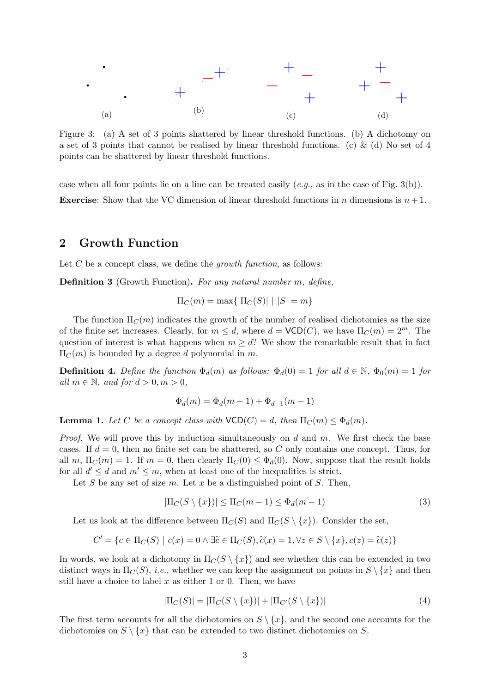

Figure 3: (a) A set of 3 points shattered by linear threshold functions. (b) A dichotomy on a set of 3 points that cannot be realised by linear threshold functions. (c) & (d) No set of 4 points can be shattered by linear threshold functions.

case when all four points lie on a line can be treated easily  $(e.g.,$  as in the case of Fig. 3(b)). **Exercise:** Show that the VC dimension of linear threshold functions in n dimensions is  $n + 1$ .

### 2 Growth Function

Let  $C$  be a concept class, we define the growth function, as follows:

Definition 3 (Growth Function). For any natural number m, define,

$$
\Pi_C(m) = \max\{|\Pi_C(S)| \mid |S| = m\}
$$

The function  $\Pi_C(m)$  indicates the growth of the number of realised dichotomies as the size of the finite set increases. Clearly, for  $m \leq d$ , where  $d = \mathsf{VCD}(C)$ , we have  $\Pi_C(m) = 2^m$ . The question of interest is what happens when  $m \geq d$ ? We show the remarkable result that in fact  $\Pi_C(m)$  is bounded by a degree d polynomial in m.

**Definition 4.** Define the function  $\Phi_d(m)$  as follows:  $\Phi_d(0) = 1$  for all  $d \in \mathbb{N}$ ,  $\Phi_0(m) = 1$  for all  $m \in \mathbb{N}$ , and for  $d > 0, m > 0$ ,

$$
\Phi_d(m) = \Phi_d(m-1) + \Phi_{d-1}(m-1)
$$

**Lemma 1.** Let C be a concept class with  $VCD(C) = d$ , then  $\Pi_C(m) \leq \Phi_d(m)$ .

*Proof.* We will prove this by induction simultaneously on d and m. We first check the base cases. If  $d = 0$ , then no finite set can be shattered, so C only contains one concept. Thus, for all m,  $\Pi_C(m) = 1$ . If  $m = 0$ , then clearly  $\Pi_C(0) \leq \Phi_d(0)$ . Now, suppose that the result holds for all  $d' \leq d$  and  $m' \leq m$ , when at least one of the inequalities is strict.

Let S be any set of size m. Let x be a distinguished point of S. Then,

$$
|\Pi_C(S \setminus \{x\})| \le \Pi_C(m-1) \le \Phi_d(m-1)
$$
\n(3)

Let us look at the difference between  $\Pi_C(S)$  and  $\Pi_C(S \setminus \{x\})$ . Consider the set,

$$
C' = \{c \in \Pi_C(S) \mid c(x) = 0 \land \exists \widetilde{c} \in \Pi_C(S), \widetilde{c}(x) = 1, \forall z \in S \setminus \{x\}, c(z) = \widetilde{c}(z)\}
$$

In words, we look at a dichotomy in  $\Pi_C(S \setminus \{x\})$  and see whether this can be extended in two distinct ways in  $\Pi_C(S)$ , *i.e.*, whether we can keep the assignment on points in  $S \setminus \{x\}$  and then still have a choice to label x as either 1 or 0. Then, we have

$$
|\Pi_C(S)| = |\Pi_C(S \setminus \{x\})| + |\Pi_{C'}(S \setminus \{x\})| \tag{4}
$$

The first term accounts for all the dichotomies on  $S \setminus \{x\}$ , and the second one accounts for the dichotomies on  $S \setminus \{x\}$  that can be extended to two distinct dichotomies on S.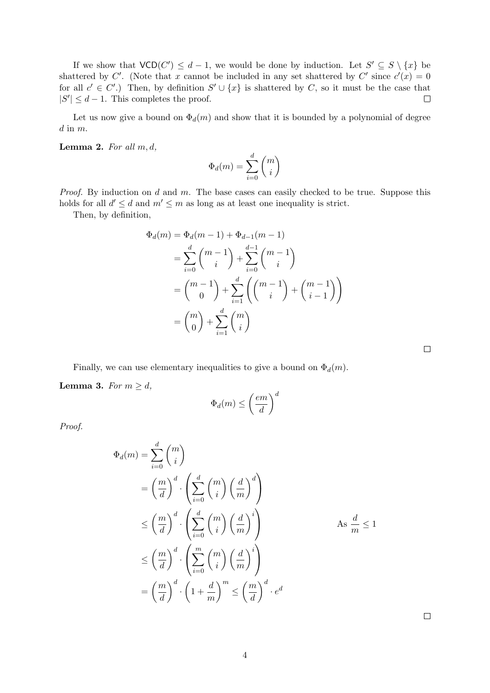If we show that  $VCD(C') \leq d-1$ , we would be done by induction. Let  $S' \subseteq S \setminus \{x\}$  be shattered by C'. (Note that x cannot be included in any set shattered by C' since  $c'(x) = 0$ for all  $c' \in C'$ .) Then, by definition  $S' \cup \{x\}$  is shattered by C, so it must be the case that  $|S'| \leq d-1$ . This completes the proof.  $\Box$ 

Let us now give a bound on  $\Phi_d(m)$  and show that it is bounded by a polynomial of degree  $d$  in  $m$ .

Lemma 2. For all  $m, d$ ,

$$
\Phi_d(m)=\sum_{i=0}^d\binom{m}{i}
$$

*Proof.* By induction on  $d$  and  $m$ . The base cases can easily checked to be true. Suppose this holds for all  $d' \leq d$  and  $m' \leq m$  as long as at least one inequality is strict.

Then, by definition,

$$
\Phi_d(m) = \Phi_d(m-1) + \Phi_{d-1}(m-1)
$$
\n
$$
= \sum_{i=0}^d {m-1 \choose i} + \sum_{i=0}^{d-1} {m-1 \choose i}
$$
\n
$$
= {m-1 \choose 0} + \sum_{i=1}^d {m-1 \choose i} + {m-1 \choose i-1}
$$
\n
$$
= {m \choose 0} + \sum_{i=1}^d {m \choose i}
$$

Finally, we can use elementary inequalities to give a bound on  $\Phi_d(m)$ .

Lemma 3. For  $m \geq d$ ,

$$
\Phi_d(m) \le \left(\frac{em}{d}\right)^d
$$

Proof.

$$
\Phi_d(m) = \sum_{i=0}^d \binom{m}{i}
$$
\n
$$
= \left(\frac{m}{d}\right)^d \cdot \left(\sum_{i=0}^d \binom{m}{i} \left(\frac{d}{m}\right)^d\right)
$$
\n
$$
\leq \left(\frac{m}{d}\right)^d \cdot \left(\sum_{i=0}^d \binom{m}{i} \left(\frac{d}{m}\right)^i\right)
$$
\n
$$
\leq \left(\frac{m}{d}\right)^d \cdot \left(\sum_{i=0}^m \binom{m}{i} \left(\frac{d}{m}\right)^i\right)
$$
\n
$$
= \left(\frac{m}{d}\right)^d \cdot \left(1 + \frac{d}{m}\right)^m \leq \left(\frac{m}{d}\right)^d \cdot e^d
$$

 $\Box$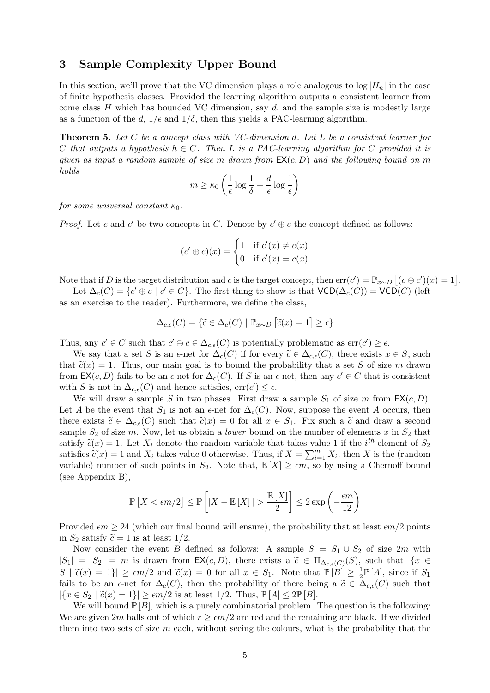# 3 Sample Complexity Upper Bound

In this section, we'll prove that the VC dimension plays a role analogous to  $\log |H_n|$  in the case of finite hypothesis classes. Provided the learning algorithm outputs a consistent learner from come class  $H$  which has bounded VC dimension, say  $d$ , and the sample size is modestly large as a function of the d,  $1/\epsilon$  and  $1/\delta$ , then this yields a PAC-learning algorithm.

Theorem 5. Let C be a concept class with VC-dimension d. Let L be a consistent learner for C that outputs a hypothesis  $h \in C$ . Then L is a PAC-learning algorithm for C provided it is given as input a random sample of size m drawn from  $EX(c, D)$  and the following bound on m holds

$$
m \ge \kappa_0 \left( \frac{1}{\epsilon} \log \frac{1}{\delta} + \frac{d}{\epsilon} \log \frac{1}{\epsilon} \right)
$$

for some universal constant  $\kappa_0$ .

*Proof.* Let c and c' be two concepts in C. Denote by  $c' \oplus c$  the concept defined as follows:

$$
(c' \oplus c)(x) = \begin{cases} 1 & \text{if } c'(x) \neq c(x) \\ 0 & \text{if } c'(x) = c(x) \end{cases}
$$

Note that if D is the target distribution and c is the target concept, then  $err(c') = \mathbb{P}_{x \sim D} [(c \oplus c')(x) = 1].$ 

Let  $\Delta_c(C) = \{c' \oplus c \mid c' \in C\}$ . The first thing to show is that  $VCD(\Delta_c(C)) = VCD(C)$  (left as an exercise to the reader). Furthermore, we define the class,

$$
\Delta_{c,\epsilon}(C) = \{ \tilde{c} \in \Delta_c(C) \mid \mathbb{P}_{x \sim D} \left[ \tilde{c}(x) = 1 \right] \ge \epsilon \}
$$

Thus, any  $c' \in C$  such that  $c' \oplus c \in \Delta_{c,\epsilon}(C)$  is potentially problematic as  $\text{err}(c') \geq \epsilon$ .

We say that a set S is an  $\epsilon$ -net for  $\Delta_c(C)$  if for every  $\widetilde{c} \in \Delta_{c,\epsilon}(C)$ , there exists  $x \in S$ , such that  $\tilde{c}(x) = 1$ . Thus, our main goal is to bound the probability that a set S of size m drawn from  $\mathsf{EX}(c, D)$  fails to be an  $\epsilon$ -net for  $\Delta_c(C)$ . If S is an  $\epsilon$ -net, then any  $c' \in C$  that is consistent with S is not in  $\Delta_{c,\epsilon}(C)$  and hence satisfies,  $\text{err}(c') \leq \epsilon$ .

We will draw a sample S in two phases. First draw a sample  $S_1$  of size m from  $\mathsf{EX}(c, D)$ . Let A be the event that  $S_1$  is not an  $\epsilon$ -net for  $\Delta_c(C)$ . Now, suppose the event A occurs, then there exists  $\tilde{c} \in \Delta_{c,\epsilon}(C)$  such that  $\tilde{c}(x) = 0$  for all  $x \in S_1$ . Fix such a  $\tilde{c}$  and draw a second sample  $S_2$  of size m. Now, let us obtain a *lower* bound on the number of elements x in  $S_2$  that satisfy  $\tilde{c}(x) = 1$ . Let  $X_i$  denote the random variable that takes value 1 if the *i*<sup>th</sup> element of  $S_2$ <br>satisfies  $\tilde{c}(x) = 1$  and  $X_i$  takes value 0 otherwise. Thus, if  $X = \sum_{i=1}^{m} X_i$  then  $X_i$  is the (random satisfies  $\tilde{c}(x) = 1$  and  $X_i$  takes value 0 otherwise. Thus, if  $X = \sum_{i=1}^{m} X_i$ , then X is the (random<br>wright) unpher of such points in  $S_i$ . Note that  $\mathbb{F}[X] > \epsilon m$  so by using a Charact bound variable) number of such points in  $S_2$ . Note that,  $\mathbb{E}[X] \geq \epsilon m$ , so by using a Chernoff bound (see Appendix B),

$$
\mathbb{P}\left[X < \epsilon m/2\right] \le \mathbb{P}\left[\left|X - \mathbb{E}\left[X\right]\right| > \frac{\mathbb{E}\left[X\right]}{2}\right] \le 2\exp\left(-\frac{\epsilon m}{12}\right)
$$

Provided  $\epsilon m \geq 24$  (which our final bound will ensure), the probability that at least  $\epsilon m/2$  points in  $S_2$  satisfy  $\tilde{c} = 1$  is at least  $1/2$ .

Now consider the event B defined as follows: A sample  $S = S_1 \cup S_2$  of size 2m with  $|S_1| = |S_2| = m$  is drawn from  $\mathsf{EX}(c, D)$ , there exists a  $\widetilde{c} \in \Pi_{\Delta_{c,\epsilon}(C)}(S)$ , such that  $|\{x \in C \mid \widetilde{c}(C) \geq 1\}$  $S \mid \tilde{c}(x) = 1 \}| \geq \epsilon m/2$  and  $\tilde{c}(x) = 0$  for all  $x \in S_1$ . Note that  $\mathbb{P}[B] \geq \frac{1}{2}$  $\frac{1}{2}\mathbb{P}[A]$ , since if  $S_1$ fails to be an  $\epsilon$ -net for  $\Delta_c(C)$ , then the probability of there being a  $\tilde{c} \in \Delta_{c,\epsilon}(C)$  such that  $|\{x \in S_2 \mid \tilde{c}(x) = 1\}| \ge \epsilon m/2$  is at least  $1/2$ . Thus,  $\mathbb{P}[A] \le 2\mathbb{P}[B]$ .

We will bound  $\mathbb{P}[B]$ , which is a purely combinatorial problem. The question is the following: We are given 2m balls out of which  $r \geq \epsilon m/2$  are red and the remaining are black. If we divided them into two sets of size  $m$  each, without seeing the colours, what is the probability that the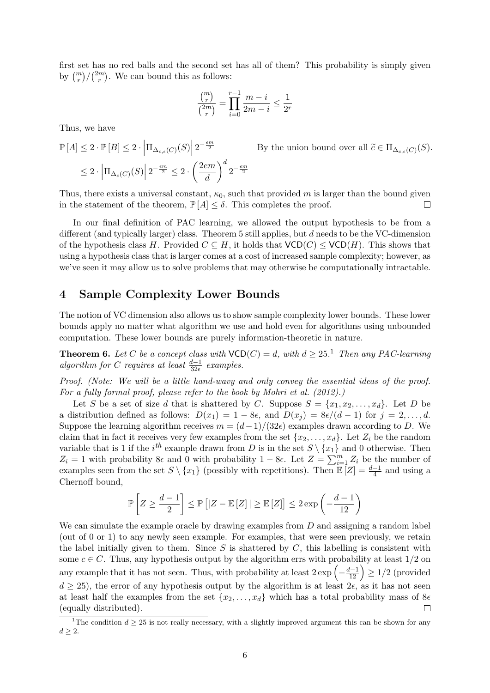first set has no red balls and the second set has all of them? This probability is simply given by  $\binom{m}{r} / \binom{2m}{r}$  $\binom{m}{r}$ . We can bound this as follows:

$$
\frac{\binom{m}{r}}{\binom{2m}{r}} = \prod_{i=0}^{r-1} \frac{m-i}{2m-i} \le \frac{1}{2^r}
$$

Thus, we have

$$
\mathbb{P}[A] \leq 2 \cdot \mathbb{P}[B] \leq 2 \cdot \left| \Pi_{\Delta_{c,\epsilon}(C)}(S) \right| 2^{-\frac{\epsilon m}{2}} \qquad \text{By the union bound over all } \widetilde{c} \in \Pi_{\Delta_{c,\epsilon}(C)}(S).
$$
  

$$
\leq 2 \cdot \left| \Pi_{\Delta_c(C)}(S) \right| 2^{-\frac{\epsilon m}{2}} \leq 2 \cdot \left( \frac{2e m}{d} \right)^d 2^{-\frac{\epsilon m}{2}}
$$

Thus, there exists a universal constant,  $\kappa_0$ , such that provided m is larger than the bound given in the statement of the theorem,  $\mathbb{P}[A] \leq \delta$ . This completes the proof.  $\Box$ 

In our final definition of PAC learning, we allowed the output hypothesis to be from a different (and typically larger) class. Theorem 5 still applies, but d needs to be the VC-dimension of the hypothesis class H. Provided  $C \subseteq H$ , it holds that  $VCD(C) \leq VCD(H)$ . This shows that using a hypothesis class that is larger comes at a cost of increased sample complexity; however, as we've seen it may allow us to solve problems that may otherwise be computationally intractable.

### 4 Sample Complexity Lower Bounds

The notion of VC dimension also allows us to show sample complexity lower bounds. These lower bounds apply no matter what algorithm we use and hold even for algorithms using unbounded computation. These lower bounds are purely information-theoretic in nature.

**Theorem 6.** Let C be a concept class with  $VCD(C) = d$ , with  $d \geq 25$ .<sup>1</sup> Then any PAC-learning algorithm for C requires at least  $\frac{d-1}{32\epsilon}$  examples.

Proof. (Note: We will be a little hand-wavy and only convey the essential ideas of the proof. For a fully formal proof, please refer to the book by Mohri et al. (2012).)

Let S be a set of size d that is shattered by C. Suppose  $S = \{x_1, x_2, \ldots, x_d\}$ . Let D be a distribution defined as follows:  $D(x_1) = 1 - 8\epsilon$ , and  $D(x_j) = 8\epsilon/(d-1)$  for  $j = 2, \ldots, d$ . Suppose the learning algorithm receives  $m = (d-1)/(32\epsilon)$  examples drawn according to D. We claim that in fact it receives very few examples from the set  $\{x_2, \ldots, x_d\}$ . Let  $Z_i$  be the random variable that is 1 if the  $i<sup>th</sup>$  example drawn from D is in the set  $S \setminus \{x_1\}$  and 0 otherwise. Then  $Z_i = 1$  with probability 8 $\epsilon$  and 0 with probability  $1 - 8\epsilon$ . Let  $Z = \sum_{i=1}^{m} Z_i$  be the number of examples seen from the set  $S \setminus \{x_1\}$  (possibly with repetitions). Then  $\mathbb{E}[Z] = \frac{d-1}{4}$  and using a Chernoff bound,

$$
\mathbb{P}\left[Z \geq \frac{d-1}{2}\right] \leq \mathbb{P}\left[|Z - \mathbb{E}\left[Z\right]| \geq \mathbb{E}\left[Z\right]\right] \leq 2\exp\left(-\frac{d-1}{12}\right)
$$

We can simulate the example oracle by drawing examples from  $D$  and assigning a random label (out of 0 or 1) to any newly seen example. For examples, that were seen previously, we retain the label initially given to them. Since  $S$  is shattered by  $C$ , this labelling is consistent with some  $c \in C$ . Thus, any hypothesis output by the algorithm errs with probability at least  $1/2$  on any example that it has not seen. Thus, with probability at least  $2 \exp\left(-\frac{d-1}{12}\right) \geq 1/2$  (provided  $d \geq 25$ , the error of any hypothesis output by the algorithm is at least  $2\epsilon$ , as it has not seen at least half the examples from the set  $\{x_2, \ldots, x_d\}$  which has a total probability mass of  $8\epsilon$ (equally distributed).  $\Box$ 

<sup>&</sup>lt;sup>1</sup>The condition  $d > 25$  is not really necessary, with a slightly improved argument this can be shown for any  $d \geq 2$ .